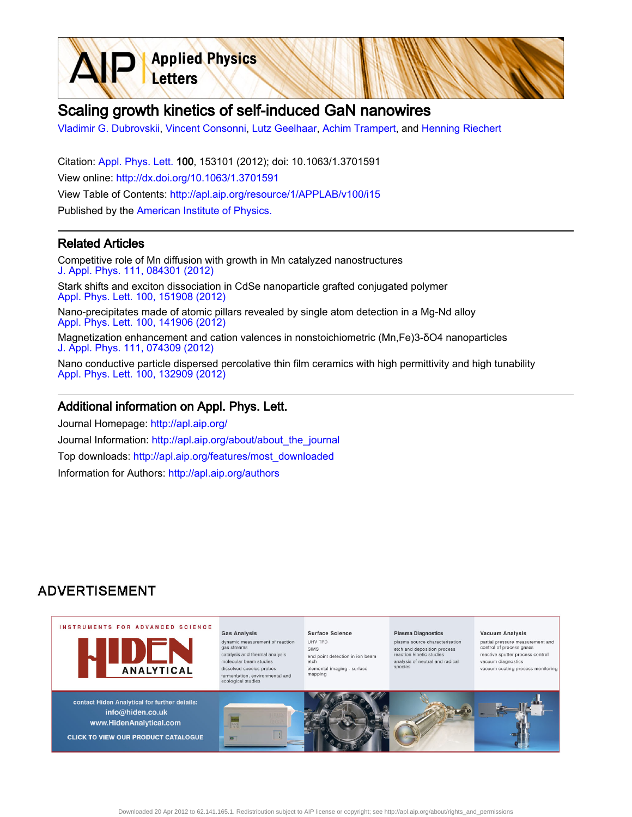

[Vladimir G. Dubrovskii,](http://apl.aip.org/search?sortby=newestdate&q=&searchzone=2&searchtype=searchin&faceted=faceted&key=AIP_ALL&possible1=Vladimir G. Dubrovskii&possible1zone=author&alias=&displayid=AIP&ver=pdfcov) [Vincent Consonni,](http://apl.aip.org/search?sortby=newestdate&q=&searchzone=2&searchtype=searchin&faceted=faceted&key=AIP_ALL&possible1=Vincent Consonni&possible1zone=author&alias=&displayid=AIP&ver=pdfcov) [Lutz Geelhaar](http://apl.aip.org/search?sortby=newestdate&q=&searchzone=2&searchtype=searchin&faceted=faceted&key=AIP_ALL&possible1=Lutz Geelhaar&possible1zone=author&alias=&displayid=AIP&ver=pdfcov), [Achim Trampert,](http://apl.aip.org/search?sortby=newestdate&q=&searchzone=2&searchtype=searchin&faceted=faceted&key=AIP_ALL&possible1=Achim Trampert&possible1zone=author&alias=&displayid=AIP&ver=pdfcov) and [Henning Riechert](http://apl.aip.org/search?sortby=newestdate&q=&searchzone=2&searchtype=searchin&faceted=faceted&key=AIP_ALL&possible1=Henning Riechert&possible1zone=author&alias=&displayid=AIP&ver=pdfcov)

Citation: [Appl. Phys. Lett. 1](http://apl.aip.org/?ver=pdfcov)00, 153101 (2012); doi: 10.1063/1.3701591 View online: [http://dx.doi.org/10.1063/1.3701591](http://link.aip.org/link/doi/10.1063/1.3701591?ver=pdfcov) View Table of Contents: [http://apl.aip.org/resource/1/APPLAB/v100/i15](http://apl.aip.org/resource/1/APPLAB/v100/i15?ver=pdfcov) Published by the [American Institute of Physics.](http://www.aip.org/?ver=pdfcov)

**Applied Physics** 

Letters

## Related Articles

Competitive role of Mn diffusion with growth in Mn catalyzed nanostructures [J. Appl. Phys. 111, 084301 \(2012\)](http://link.aip.org/link/doi/10.1063/1.3702881?ver=pdfcov)

Stark shifts and exciton dissociation in CdSe nanoparticle grafted conjugated polymer [Appl. Phys. Lett. 100, 151908 \(2012\)](http://link.aip.org/link/doi/10.1063/1.3701719?ver=pdfcov)

Nano-precipitates made of atomic pillars revealed by single atom detection in a Mg-Nd alloy [Appl. Phys. Lett. 100, 141906 \(2012\)](http://link.aip.org/link/doi/10.1063/1.3701272?ver=pdfcov)

Magnetization enhancement and cation valences in nonstoichiometric (Mn,Fe)3-δO4 nanoparticles [J. Appl. Phys. 111, 074309 \(2012\)](http://link.aip.org/link/doi/10.1063/1.3700228?ver=pdfcov)

Nano conductive particle dispersed percolative thin film ceramics with high permittivity and high tunability [Appl. Phys. Lett. 100, 132909 \(2012\)](http://link.aip.org/link/doi/10.1063/1.3699012?ver=pdfcov)

## Additional information on Appl. Phys. Lett.

Journal Homepage: [http://apl.aip.org/](http://apl.aip.org/?ver=pdfcov) Journal Information: [http://apl.aip.org/about/about\\_the\\_journal](http://apl.aip.org/about/about_the_journal?ver=pdfcov) Top downloads: [http://apl.aip.org/features/most\\_downloaded](http://apl.aip.org/features/most_downloaded?ver=pdfcov) Information for Authors: [http://apl.aip.org/authors](http://apl.aip.org/authors?ver=pdfcov)

## **ADVERTISEMENT**

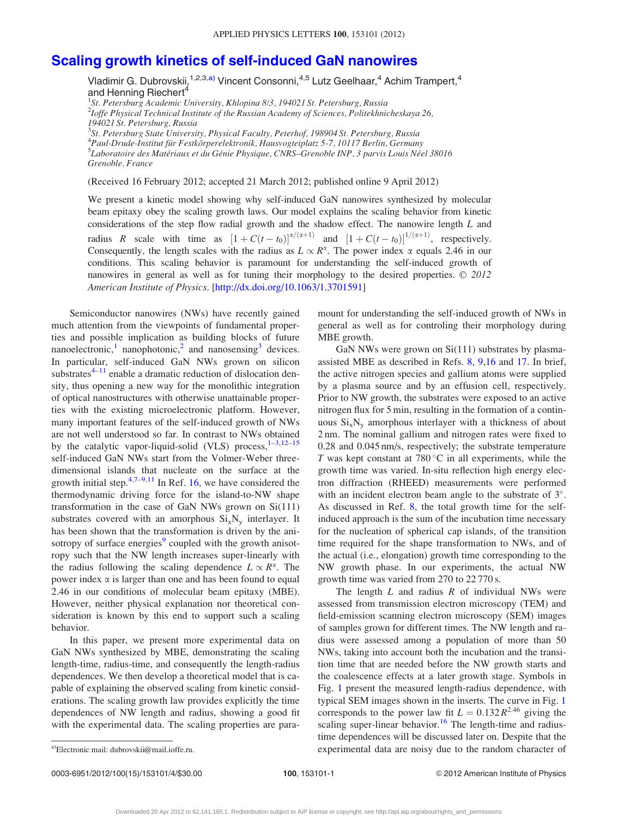## [Scaling growth kinetics of self-induced GaN nanowires](http://dx.doi.org/10.1063/1.3701591)

Vladimir G. Dubrovskii,<sup>1,2,3,a)</sup> Vincent Consonni,<sup>4,5</sup> Lutz Geelhaar,<sup>4</sup> Achim Trampert,<sup>4</sup> and Henning Riechert<sup>4</sup>

<sup>1</sup>St. Petersburg Academic University, Khlopina 8/3, 194021 St. Petersburg, Russia <sup>2</sup>Ioffe Physical Technical Institute of the Russian Academy of Sciences, Politekhnicheskaya 26, 194021 St. Petersburg, Russia <sup>3</sup>St. Petersburg State University, Physical Faculty, Peterhof, 198904 St. Petersburg, Russia <sup>4</sup> Paul-Drude-Institut für Festkörperelektronik, Hausvogteiplatz 5-7, 10117 Berlin, Germany<br><sup>5</sup>Laboratoire des Matériaux et du Génie Physique, CNRS, Granoble INP, 3 naryis Louis Née <sup>5</sup>Laboratoire des Matériaux et du Génie Physique, CNRS–Grenoble INP, 3 parvis Louis Néel 38016 Grenoble, France

(Received 16 February 2012; accepted 21 March 2012; published online 9 April 2012)

We present a kinetic model showing why self-induced GaN nanowires synthesized by molecular beam epitaxy obey the scaling growth laws. Our model explains the scaling behavior from kinetic considerations of the step flow radial growth and the shadow effect. The nanowire length L and radius R scale with time as  $[1 + C(t - t_0)]^{\alpha/(\alpha+1)}$  and  $[1 + C(t - t_0)]^{1/(\alpha+1)}$ , respectively. Consequently, the length scales with the radius as  $L \propto R^{\alpha}$ . The power index  $\alpha$  equals 2.46 in our conditions. This scaling behavior is paramount for understanding the self-induced growth of nanowires in general as well as for tuning their morphology to the desired properties.  $\odot$  2012 American Institute of Physics. [\[http://dx.doi.org/10.1063/1.3701591](http://dx.doi.org/10.1063/1.3701591)]

Semiconductor nanowires (NWs) have recently gained much attention from the viewpoints of fundamental properties and possible implication as building blocks of future nanoelectronic,<sup>[1](#page-4-0)</sup> nanophotonic,<sup>[2](#page-4-0)</sup> and nanosensing<sup>[3](#page-4-0)</sup> devices. In particular, self-induced GaN NWs grown on silicon substrates $4-11$  enable a dramatic reduction of dislocation density, thus opening a new way for the monolithic integration of optical nanostructures with otherwise unattainable properties with the existing microelectronic platform. However, many important features of the self-induced growth of NWs are not well understood so far. In contrast to NWs obtained by the catalytic vapor-liquid-solid (VLS) process, $1-3,12-15$ self-induced GaN NWs start from the Volmer-Weber threedimensional islands that nucleate on the surface at the growth initial step.<sup>[4,7–9](#page-4-0),[11](#page-4-0)</sup> In Ref. [16](#page-4-0), we have considered the thermodynamic driving force for the island-to-NW shape transformation in the case of GaN NWs grown on Si(111) substrates covered with an amorphous  $Si_xN_y$  interlayer. It has been shown that the transformation is driven by the ani-sotropy of surface energies<sup>[9](#page-4-0)</sup> coupled with the growth anisotropy such that the NW length increases super-linearly with the radius following the scaling dependence  $L \propto R^{\alpha}$ . The power index  $\alpha$  is larger than one and has been found to equal 2.46 in our conditions of molecular beam epitaxy (MBE). However, neither physical explanation nor theoretical consideration is known by this end to support such a scaling behavior.

In this paper, we present more experimental data on GaN NWs synthesized by MBE, demonstrating the scaling length-time, radius-time, and consequently the length-radius dependences. We then develop a theoretical model that is capable of explaining the observed scaling from kinetic considerations. The scaling growth law provides explicitly the time dependences of NW length and radius, showing a good fit with the experimental data. The scaling properties are paramount for understanding the self-induced growth of NWs in general as well as for controling their morphology during MBE growth.

GaN NWs were grown on Si(111) substrates by plasmaassisted MBE as described in Refs. [8,](#page-4-0) [9,16](#page-4-0) and [17](#page-4-0). In brief, the active nitrogen species and gallium atoms were supplied by a plasma source and by an effusion cell, respectively. Prior to NW growth, the substrates were exposed to an active nitrogen flux for 5 min, resulting in the formation of a continuous  $Si_xN_y$  amorphous interlayer with a thickness of about 2 nm. The nominal gallium and nitrogen rates were fixed to 0.28 and 0.045 nm/s, respectively; the substrate temperature T was kept constant at  $780^{\circ}$ C in all experiments, while the growth time was varied. In-situ reflection high energy electron diffraction (RHEED) measurements were performed with an incident electron beam angle to the substrate of  $3^\circ$ . As discussed in Ref. [8,](#page-4-0) the total growth time for the selfinduced approach is the sum of the incubation time necessary for the nucleation of spherical cap islands, of the transition time required for the shape transformation to NWs, and of the actual (i.e., elongation) growth time corresponding to the NW growth phase. In our experiments, the actual NW growth time was varied from 270 to 22 770 s.

The length  $L$  and radius  $R$  of individual NWs were assessed from transmission electron microscopy (TEM) and field-emission scanning electron microscopy (SEM) images of samples grown for different times. The NW length and radius were assessed among a population of more than 50 NWs, taking into account both the incubation and the transition time that are needed before the NW growth starts and the coalescence effects at a later growth stage. Symbols in Fig. [1](#page-2-0) present the measured length-radius dependence, with typical SEM images shown in the inserts. The curve in Fig. [1](#page-2-0) corresponds to the power law fit  $L = 0.132 R^{2.46}$  giving the scaling super-linear behavior.<sup>[16](#page-4-0)</sup> The length-time and radiustime dependences will be discussed later on. Despite that the a)Electronic mail: dubrovskii@mail.ioffe.ru. experimental data are noisy due to the random character of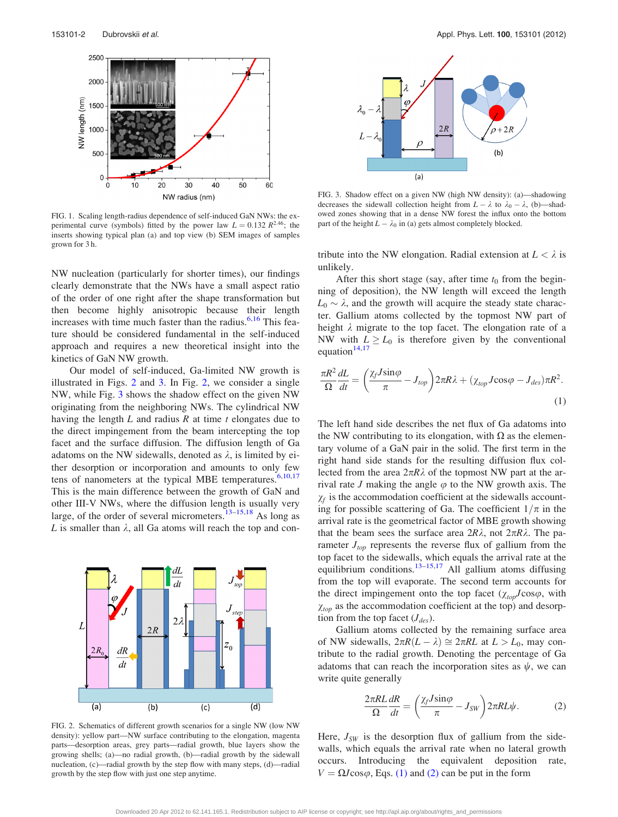<span id="page-2-0"></span>

FIG. 1. Scaling length-radius dependence of self-induced GaN NWs: the experimental curve (symbols) fitted by the power law  $L = 0.132 R^{2.46}$ ; the inserts showing typical plan (a) and top view (b) SEM images of samples grown for 3 h.

NW nucleation (particularly for shorter times), our findings clearly demonstrate that the NWs have a small aspect ratio of the order of one right after the shape transformation but then become highly anisotropic because their length increases with time much faster than the radius. $6,16$  This feature should be considered fundamental in the self-induced approach and requires a new theoretical insight into the kinetics of GaN NW growth.

Our model of self-induced, Ga-limited NW growth is illustrated in Figs. 2 and 3. In Fig. 2, we consider a single NW, while Fig. 3 shows the shadow effect on the given NW originating from the neighboring NWs. The cylindrical NW having the length  $L$  and radius  $R$  at time  $t$  elongates due to the direct impingement from the beam intercepting the top facet and the surface diffusion. The diffusion length of Ga adatoms on the NW sidewalls, denoted as  $\lambda$ , is limited by either desorption or incorporation and amounts to only few tens of nanometers at the typical MBE temperatures.<sup>[6,10,17](#page-4-0)</sup> This is the main difference between the growth of GaN and other III-V NWs, where the diffusion length is usually very large, of the order of several micrometers. $13-15,18$  $13-15,18$  $13-15,18$  As long as L is smaller than  $\lambda$ , all Ga atoms will reach the top and con-



FIG. 2. Schematics of different growth scenarios for a single NW (low NW density): yellow part—NW surface contributing to the elongation, magenta parts—desorption areas, grey parts—radial growth, blue layers show the growing shells; (a)—no radial growth, (b)—radial growth by the sidewall nucleation, (c)—radial growth by the step flow with many steps, (d)—radial growth by the step flow with just one step anytime.



FIG. 3. Shadow effect on a given NW (high NW density): (a)—shadowing decreases the sidewall collection height from  $L - \lambda$  to  $\lambda_0 - \lambda$ , (b)—shadowed zones showing that in a dense NW forest the influx onto the bottom part of the height  $L - \lambda_0$  in (a) gets almost completely blocked.

tribute into the NW elongation. Radial extension at  $L < \lambda$  is unlikely.

After this short stage (say, after time  $t_0$  from the beginning of deposition), the NW length will exceed the length  $L_0 \sim \lambda$ , and the growth will acquire the steady state character. Gallium atoms collected by the topmost NW part of height  $\lambda$  migrate to the top facet. The elongation rate of a NW with  $L \ge L_0$  is therefore given by the conventional equation $14,17$  $14,17$  $14,17$ 

$$
\frac{\pi R^2}{\Omega} \frac{dL}{dt} = \left(\frac{\chi_f J \sin\varphi}{\pi} - J_{top}\right) 2\pi R \lambda + (\chi_{top} J \cos\varphi - J_{des}) \pi R^2.
$$
\n(1)

The left hand side describes the net flux of Ga adatoms into the NW contributing to its elongation, with  $\Omega$  as the elementary volume of a GaN pair in the solid. The first term in the right hand side stands for the resulting diffusion flux collected from the area  $2\pi R\lambda$  of the topmost NW part at the arrival rate J making the angle  $\varphi$  to the NW growth axis. The  $\chi_f$  is the accommodation coefficient at the sidewalls accounting for possible scattering of Ga. The coefficient  $1/\pi$  in the arrival rate is the geometrical factor of MBE growth showing that the beam sees the surface area  $2R\lambda$ , not  $2\pi R\lambda$ . The parameter  $J_{top}$  represents the reverse flux of gallium from the top facet to the sidewalls, which equals the arrival rate at the equilibrium conditions.<sup>[13–15,17](#page-4-0)</sup> All gallium atoms diffusing from the top will evaporate. The second term accounts for the direct impingement onto the top facet  $(\chi_{top}J\cos\varphi, \text{ with}$  $\chi_{top}$  as the accommodation coefficient at the top) and desorption from the top facet  $(J_{des})$ .

Gallium atoms collected by the remaining surface area of NW sidewalls,  $2\pi R(L - \lambda) \cong 2\pi RL$  at  $L > L_0$ , may contribute to the radial growth. Denoting the percentage of Ga adatoms that can reach the incorporation sites as  $\psi$ , we can write quite generally

$$
\frac{2\pi R L}{\Omega} \frac{dR}{dt} = \left(\frac{\chi_f J \sin\varphi}{\pi} - J_{SW}\right) 2\pi R L \psi.
$$
 (2)

Here,  $J_{SW}$  is the desorption flux of gallium from the sidewalls, which equals the arrival rate when no lateral growth occurs. Introducing the equivalent deposition rate,  $V = \Omega J \cos \varphi$ , Eqs. (1) and (2) can be put in the form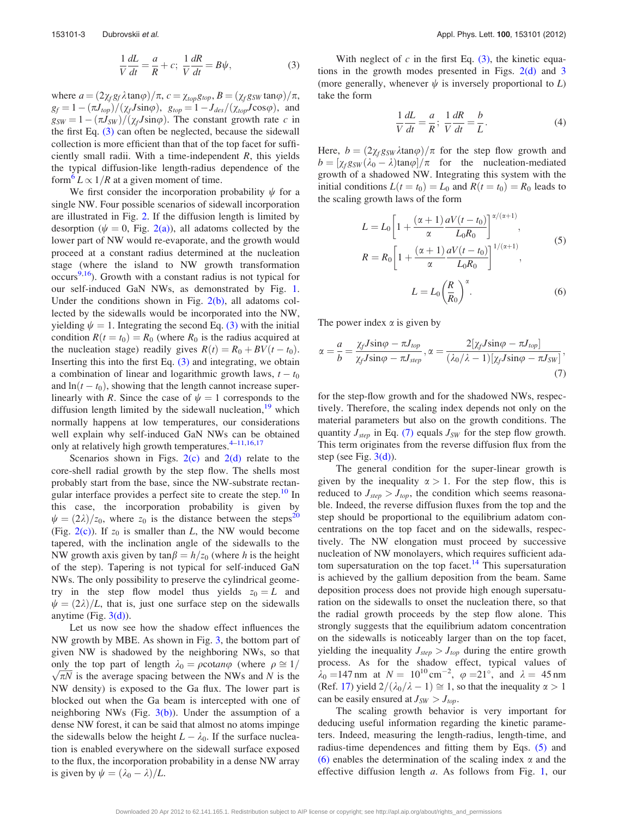$$
\frac{1}{V}\frac{dL}{dt} = \frac{a}{R} + c; \ \frac{1}{V}\frac{dR}{dt} = B\psi,
$$
\n(3)

<span id="page-3-0"></span>where  $a = (2\chi_f g_f \lambda \tan\varphi)/\pi$ ,  $c = \chi_{top} g_{top}$ ,  $B = (\chi_f g_{SW} \tan\varphi)/\pi$ ,  $g_f = 1 - (\pi J_{top})/(\chi_f J \sin\varphi)$ ,  $g_{top} = 1 - J_{des}/(\chi_{top} J \cos\varphi)$ , and  $g_{SW} = 1 - (\pi J_{SW})/(\chi_f J \sin\varphi)$ . The constant growth rate c in the first Eq. [\(3\)](#page-2-0) can often be neglected, because the sidewall collection is more efficient than that of the top facet for sufficiently small radii. With a time-independent  $R$ , this yields the typical diffusion-like length-radius dependence of the form<sup>o</sup>  $L \propto 1/R$  at a given moment of time.

We first consider the incorporation probability  $\psi$  for a single NW. Four possible scenarios of sidewall incorporation are illustrated in Fig. [2.](#page-2-0) If the diffusion length is limited by desorption ( $\psi = 0$ , Fig. [2\(a\)](#page-2-0)), all adatoms collected by the lower part of NW would re-evaporate, and the growth would proceed at a constant radius determined at the nucleation stage (where the island to NW growth transformation occurs<sup>[9,16](#page-4-0)</sup>). Growth with a constant radius is not typical for our self-induced GaN NWs, as demonstrated by Fig. [1](#page-2-0). Under the conditions shown in Fig.  $2(b)$ , all adatoms collected by the sidewalls would be incorporated into the NW, yielding  $\psi = 1$ . Integrating the second Eq. [\(3\)](#page-2-0) with the initial condition  $R(t = t_0) = R_0$  (where  $R_0$  is the radius acquired at the nucleation stage) readily gives  $R(t) = R_0 + BV(t - t_0)$ . Inserting this into the first Eq.  $(3)$  and integrating, we obtain a combination of linear and logarithmic growth laws,  $t - t_0$ and  $\ln(t - t_0)$ , showing that the length cannot increase superlinearly with R. Since the case of  $\psi = 1$  corresponds to the diffusion length limited by the sidewall nucleation, $19$  which normally happens at low temperatures, our considerations well explain why self-induced GaN NWs can be obtained only at relatively high growth temperatures. $4-11,16,17$  $4-11,16,17$  $4-11,16,17$ 

Scenarios shown in Figs.  $2(c)$  and  $2(d)$  relate to the core-shell radial growth by the step flow. The shells most probably start from the base, since the NW-substrate rectan-gular interface provides a perfect site to create the step.<sup>[10](#page-4-0)</sup> In this case, the incorporation probability is given by  $\psi = (2\lambda)/z_0$ , where  $z_0$  is the distance between the steps<sup>[20](#page-4-0)</sup> (Fig.  $2(c)$ ). If  $z_0$  is smaller than L, the NW would become tapered, with the inclination angle of the sidewalls to the NW growth axis given by  $\tan \beta = h/z_0$  (where h is the height of the step). Tapering is not typical for self-induced GaN NWs. The only possibility to preserve the cylindrical geometry in the step flow model thus yields  $z_0 = L$  and  $\psi = (2\lambda)/L$ , that is, just one surface step on the sidewalls anytime (Fig.  $3(d)$ ).

Let us now see how the shadow effect influences the NW growth by MBE. As shown in Fig. [3](#page-2-0), the bottom part of given NW is shadowed by the neighboring NWs, so that only the top part of length  $\lambda_0 = \rho \cot \omega$  (where  $\rho \approx 1/$  $\sqrt{\pi N}$  is the average spacing between the NWs and N is the NW density) is exposed to the Ga flux. The lower part is blocked out when the Ga beam is intercepted with one of neighboring NWs (Fig.  $3(b)$ ). Under the assumption of a dense NW forest, it can be said that almost no atoms impinge the sidewalls below the height  $L - \lambda_0$ . If the surface nucleation is enabled everywhere on the sidewall surface exposed to the flux, the incorporation probability in a dense NW array is given by  $\psi = (\lambda_0 - \lambda)/L$ .

With neglect of  $c$  in the first Eq.  $(3)$ , the kinetic equations in the growth modes presented in Figs.  $2(d)$  and [3](#page-2-0) (more generally, whenever  $\psi$  is inversely proportional to L) take the form

$$
\frac{1}{V}\frac{dL}{dt} = \frac{a}{R}; \frac{1}{V}\frac{dR}{dt} = \frac{b}{L}.
$$
 (4)

Here,  $b = (2\chi_f g_{SW}\lambda \tan\varphi)/\pi$  for the step flow growth and  $b = [\chi_f g_{SW}(\lambda_0 - \lambda) \tan \varphi]/\pi$  for the nucleation-mediated growth of a shadowed NW. Integrating this system with the initial conditions  $L(t = t_0) = L_0$  and  $R(t = t_0) = R_0$  leads to the scaling growth laws of the form

$$
L = L_0 \left[ 1 + \frac{(\alpha + 1)}{\alpha} \frac{aV(t - t_0)}{L_0 R_0} \right]^{\alpha/(\alpha + 1)},
$$
  
\n
$$
R = R_0 \left[ 1 + \frac{(\alpha + 1)}{\alpha} \frac{aV(t - t_0)}{L_0 R_0} \right]^{1/(\alpha + 1)},
$$
  
\n
$$
L = L_0 \left( \frac{R}{R_0} \right)^{\alpha}.
$$
 (6)

The power index  $\alpha$  is given by

$$
\alpha = \frac{a}{b} = \frac{\chi_f J \sin\varphi - \pi J_{top}}{\chi_f J \sin\varphi - \pi J_{step}}, \alpha = \frac{2[\chi_f J \sin\varphi - \pi J_{top}]}{(\lambda_0/\lambda - 1)[\chi_f J \sin\varphi - \pi J_{SW}]},
$$
\n(7)

for the step-flow growth and for the shadowed NWs, respectively. Therefore, the scaling index depends not only on the material parameters but also on the growth conditions. The quantity  $J_{step}$  in Eq. (7) equals  $J_{SW}$  for the step flow growth. This term originates from the reverse diffusion flux from the step (see Fig.  $3(d)$ ).

The general condition for the super-linear growth is given by the inequality  $\alpha > 1$ . For the step flow, this is reduced to  $J_{step} > J_{top}$ , the condition which seems reasonable. Indeed, the reverse diffusion fluxes from the top and the step should be proportional to the equilibrium adatom concentrations on the top facet and on the sidewalls, respectively. The NW elongation must proceed by successive nucleation of NW monolayers, which requires sufficient ada-tom supersaturation on the top facet.<sup>[14](#page-4-0)</sup> This supersaturation is achieved by the gallium deposition from the beam. Same deposition process does not provide high enough supersaturation on the sidewalls to onset the nucleation there, so that the radial growth proceeds by the step flow alone. This strongly suggests that the equilibrium adatom concentration on the sidewalls is noticeably larger than on the top facet, yielding the inequality  $J_{step} > J_{top}$  during the entire growth process. As for the shadow effect, typical values of  $\lambda_0 = 147$  nm at  $N = 10^{10}$  cm<sup>-2</sup>,  $\varphi = 21^{\circ}$ , and  $\lambda = 45$  nm (Ref. [17](#page-4-0)) yield  $2/(\lambda_0/\lambda-1) \cong 1$ , so that the inequality  $\alpha > 1$ can be easily ensured at  $J_{SW} > J_{top}$ .

The scaling growth behavior is very important for deducing useful information regarding the kinetic parameters. Indeed, measuring the length-radius, length-time, and radius-time dependences and fitting them by Eqs. (5) and (6) enables the determination of the scaling index  $\alpha$  and the effective diffusion length a. As follows from Fig. [1](#page-2-0), our